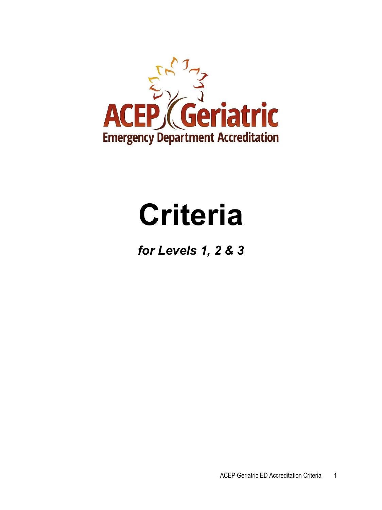

# **Criteria**

*for Levels 1, 2 & 3*

ACEP Geriatric ED Accreditation Criteria 1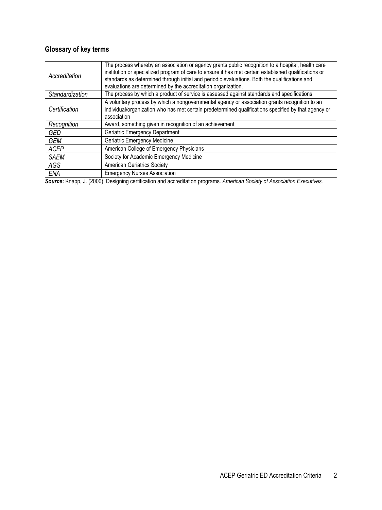# **Glossary of key terms**

| Accreditation                                          | The process whereby an association or agency grants public recognition to a hospital, health care<br>institution or specialized program of care to ensure it has met certain established qualifications or<br>standards as determined through initial and periodic evaluations. Both the qualifications and<br>evaluations are determined by the accreditation organization. |  |
|--------------------------------------------------------|------------------------------------------------------------------------------------------------------------------------------------------------------------------------------------------------------------------------------------------------------------------------------------------------------------------------------------------------------------------------------|--|
| Standardization                                        | The process by which a product of service is assessed against standards and specifications                                                                                                                                                                                                                                                                                   |  |
| Certification                                          | A voluntary process by which a nongovernmental agency or association grants recognition to an<br>individual/organization who has met certain predetermined qualifications specified by that agency or<br>association                                                                                                                                                         |  |
| Recognition                                            | Award, something given in recognition of an achievement                                                                                                                                                                                                                                                                                                                      |  |
| <b>GED</b>                                             | <b>Geriatric Emergency Department</b>                                                                                                                                                                                                                                                                                                                                        |  |
| <b>GEM</b>                                             | Geriatric Emergency Medicine                                                                                                                                                                                                                                                                                                                                                 |  |
| <b>ACEP</b>                                            | American College of Emergency Physicians                                                                                                                                                                                                                                                                                                                                     |  |
| Society for Academic Emergency Medicine<br><b>SAEM</b> |                                                                                                                                                                                                                                                                                                                                                                              |  |
| AGS                                                    | <b>American Geriatrics Society</b>                                                                                                                                                                                                                                                                                                                                           |  |
| ENA                                                    | <b>Emergency Nurses Association</b>                                                                                                                                                                                                                                                                                                                                          |  |

*Source***:** Knapp, J. (2000). Designing certification and accreditation programs. *American Society of Association Executives.*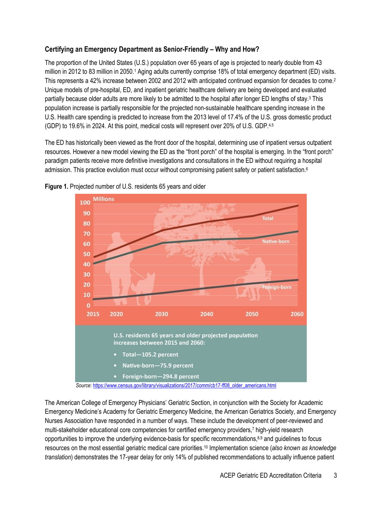# **Certifying an Emergency Department as Senior-Friendly – Why and How?**

The proportion of the United States (U.S.) population over 65 years of age is projected to nearly double from 43 million in 2012 to 83 million in 2050.<sup>1</sup> Aging adults currently comprise 18% of total emergency department (ED) visits. This represents a 42% increase between 2002 and 2012 with anticipated continued expansion for decades to come.<sup>2</sup> Unique models of pre-hospital, ED, and inpatient geriatric healthcare delivery are being developed and evaluated partially because older adults are more likely to be admitted to the hospital after longer ED lengths of stay.3 This population increase is partially responsible for the projected non-sustainable healthcare spending increase in the U.S. Health care spending is predicted to increase from the 2013 level of 17.4% of the U.S. gross domestic product (GDP) to 19.6% in 2024. At this point, medical costs will represent over 20% of U.S. GDP.<sup>4,5</sup>

The ED has historically been viewed as the front door of the hospital, determining use of inpatient versus outpatient resources. However a new model viewing the ED as the "front porch" of the hospital is emerging. In the "front porch" paradigm patients receive more definitive investigations and consultations in the ED without requiring a hospital admission. This practice evolution must occur without compromising patient safety or patient satisfaction.<sup>6</sup>





The American College of Emergency Physicians' Geriatric Section, in conjunction with the Society for Academic Emergency Medicine's Academy for Geriatric Emergency Medicine, the American Geriatrics Society, and Emergency Nurses Association have responded in a number of ways. These include the development of peer-reviewed and multi-stakeholder educational core competencies for certified emergency providers,7 high-yield research opportunities to improve the underlying evidence-basis for specific recommendations,8,9 and guidelines to focus resources on the most essential geriatric medical care priorities.10 Implementation science (*also known as knowledge translation*) demonstrates the 17-year delay for only 14% of published recommendations to actually influence patient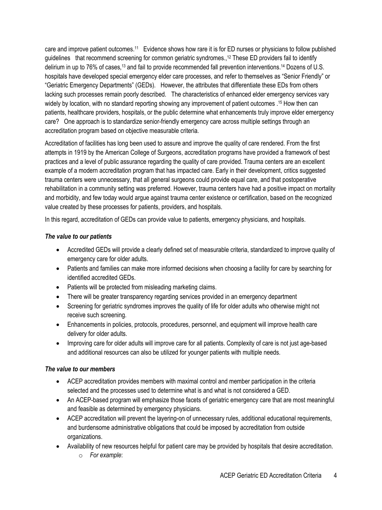care and improve patient outcomes.11 Evidence shows how rare it is for ED nurses or physicians to follow published guidelines that recommend screening for common geriatric syndromes., <sup>12</sup> These ED providers fail to identify delirium in up to 76% of cases,13 and fail to provide recommended fall prevention interventions.14 Dozens of U.S. hospitals have developed special emergency elder care processes, and refer to themselves as "Senior Friendly" or "Geriatric Emergency Departments" (GEDs). However, the attributes that differentiate these EDs from others lacking such processes remain poorly described. The characteristics of enhanced elder emergency services vary widely by location, with no standard reporting showing any improvement of patient outcomes . <sup>15</sup> How then can patients, healthcare providers, hospitals, or the public determine what enhancements truly improve elder emergency care? One approach is to standardize senior-friendly emergency care across multiple settings through an accreditation program based on objective measurable criteria.

Accreditation of facilities has long been used to assure and improve the quality of care rendered. From the first attempts in 1919 by the American College of Surgeons, accreditation programs have provided a framework of best practices and a level of public assurance regarding the quality of care provided. Trauma centers are an excellent example of a modern accreditation program that has impacted care. Early in their development, critics suggested trauma centers were unnecessary, that all general surgeons could provide equal care, and that postoperative rehabilitation in a community setting was preferred. However, trauma centers have had a positive impact on mortality and morbidity, and few today would argue against trauma center existence or certification, based on the recognized value created by these processes for patients, providers, and hospitals.

In this regard, accreditation of GEDs can provide value to patients, emergency physicians, and hospitals.

#### *The value to our patients*

- Accredited GEDs will provide a clearly defined set of measurable criteria, standardized to improve quality of emergency care for older adults.
- Patients and families can make more informed decisions when choosing a facility for care by searching for identified accredited GEDs.
- Patients will be protected from misleading marketing claims.
- There will be greater transparency regarding services provided in an emergency department
- Screening for geriatric syndromes improves the quality of life for older adults who otherwise might not receive such screening.
- Enhancements in policies, protocols, procedures, personnel, and equipment will improve health care delivery for older adults.
- Improving care for older adults will improve care for all patients. Complexity of care is not just age-based and additional resources can also be utilized for younger patients with multiple needs.

#### *The value to our members*

- ACEP accreditation provides members with maximal control and member participation in the criteria selected and the processes used to determine what is and what is not considered a GED.
- An ACEP-based program will emphasize those facets of geriatric emergency care that are most meaningful and feasible as determined by emergency physicians.
- ACEP accreditation will prevent the layering-on of unnecessary rules, additional educational requirements, and burdensome administrative obligations that could be imposed by accreditation from outside organizations.
- Availability of new resources helpful for patient care may be provided by hospitals that desire accreditation.
	- o *For example*: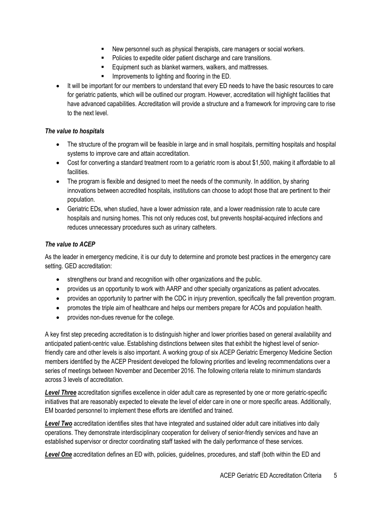- New personnel such as physical therapists, care managers or social workers.
- Policies to expedite older patient discharge and care transitions.
- **Equipment such as blanket warmers, walkers, and mattresses.**
- Improvements to lighting and flooring in the ED.
- It will be important for our members to understand that every ED needs to have the basic resources to care for geriatric patients, which will be outlined our program. However, accreditation will highlight facilities that have advanced capabilities. Accreditation will provide a structure and a framework for improving care to rise to the next level.

#### *The value to hospitals*

- The structure of the program will be feasible in large and in small hospitals, permitting hospitals and hospital systems to improve care and attain accreditation.
- Cost for converting a standard treatment room to a geriatric room is about \$1,500, making it affordable to all facilities.
- The program is flexible and designed to meet the needs of the community. In addition, by sharing innovations between accredited hospitals, institutions can choose to adopt those that are pertinent to their population.
- Geriatric EDs, when studied, have a lower admission rate, and a lower readmission rate to acute care hospitals and nursing homes. This not only reduces cost, but prevents hospital-acquired infections and reduces unnecessary procedures such as urinary catheters.

#### *The value to ACEP*

As the leader in emergency medicine, it is our duty to determine and promote best practices in the emergency care setting. GED accreditation:

- strengthens our brand and recognition with other organizations and the public.
- provides us an opportunity to work with AARP and other specialty organizations as patient advocates.
- provides an opportunity to partner with the CDC in injury prevention, specifically the fall prevention program.
- promotes the triple aim of healthcare and helps our members prepare for ACOs and population health.
- provides non-dues revenue for the college.

A key first step preceding accreditation is to distinguish higher and lower priorities based on general availability and anticipated patient-centric value. Establishing distinctions between sites that exhibit the highest level of seniorfriendly care and other levels is also important. A working group of six ACEP Geriatric Emergency Medicine Section members identified by the ACEP President developed the following priorities and leveling recommendations over a series of meetings between November and December 2016. The following criteria relate to minimum standards across 3 levels of accreditation.

*Level Three* accreditation signifies excellence in older adult care as represented by one or more geriatric-specific initiatives that are reasonably expected to elevate the level of elder care in one or more specific areas. Additionally, EM boarded personnel to implement these efforts are identified and trained.

*Level Two* accreditation identifies sites that have integrated and sustained older adult care initiatives into daily operations. They demonstrate interdisciplinary cooperation for delivery of senior-friendly services and have an established supervisor or director coordinating staff tasked with the daily performance of these services.

*Level One* accreditation defines an ED with, policies, guidelines, procedures, and staff (both within the ED and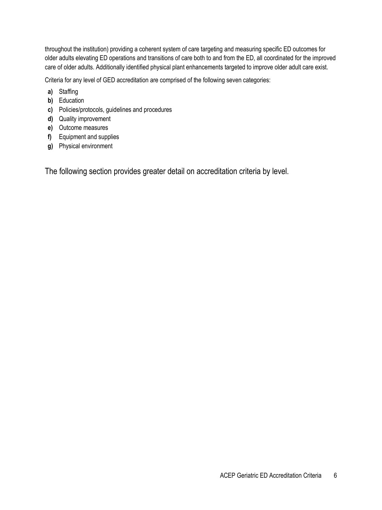throughout the institution) providing a coherent system of care targeting and measuring specific ED outcomes for older adults elevating ED operations and transitions of care both to and from the ED, all coordinated for the improved care of older adults. Additionally identified physical plant enhancements targeted to improve older adult care exist.

Criteria for any level of GED accreditation are comprised of the following seven categories:

- **a)** Staffing
- **b)** Education
- **c)** Policies/protocols, guidelines and procedures
- **d)** Quality improvement
- **e)** Outcome measures
- **f)** Equipment and supplies
- **g)** Physical environment

The following section provides greater detail on accreditation criteria by level.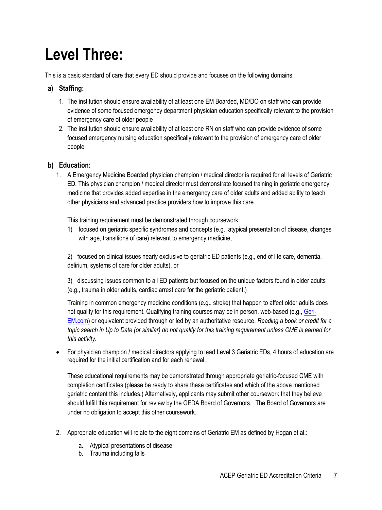# **Level Three:**

This is a basic standard of care that every ED should provide and focuses on the following domains:

# **a) Staffing:**

- 1. The institution should ensure availability of at least one EM Boarded, MD/DO on staff who can provide evidence of some focused emergency department physician education specifically relevant to the provision of emergency care of older people
- 2. The institution should ensure availability of at least one RN on staff who can provide evidence of some focused emergency nursing education specifically relevant to the provision of emergency care of older people

# **b) Education:**

1. A Emergency Medicine Boarded physician champion / medical director is required for all levels of Geriatric ED. This physician champion / medical director must demonstrate focused training in geriatric emergency medicine that provides added expertise in the emergency care of older adults and added ability to teach other physicians and advanced practice providers how to improve this care.

This training requirement must be demonstrated through coursework:

1) focused on geriatric specific syndromes and concepts (e.g., atypical presentation of disease, changes with age, transitions of care) relevant to emergency medicine,

2) focused on clinical issues nearly exclusive to geriatric ED patients (e.g., end of life care, dementia, delirium, systems of care for older adults), or

3) discussing issues common to all ED patients but focused on the unique factors found in older adults (e.g., trauma in older adults, cardiac arrest care for the geriatric patient.)

Training in common emergency medicine conditions (e.g., stroke) that happen to affect older adults does not qualify for this requirement. Qualifying training courses may be in person, web-based (e.g., [Geri-](https://urldefense.proofpoint.com/v2/url?u=http-3A__geri-2Dem.com_&d=DwMGaQ&c=Nd1gv_ZWYNIRyZYZmXb18oVfc3lTqv2smA_esABG70U&r=KxiCTWHmD2oOxdnNNyPqFy8plc2tvBt1azFLaRzk2fo&m=34-hKu1j9XhaElH1UhyXB-uUxvir6NwEl3jYOGc_nUQ&s=3PT8k63uG1aX-HZaxVo8rWTXejuaTaTkxH5tF9vNKEA&e=)[EM.com\)](https://urldefense.proofpoint.com/v2/url?u=http-3A__geri-2Dem.com_&d=DwMGaQ&c=Nd1gv_ZWYNIRyZYZmXb18oVfc3lTqv2smA_esABG70U&r=KxiCTWHmD2oOxdnNNyPqFy8plc2tvBt1azFLaRzk2fo&m=34-hKu1j9XhaElH1UhyXB-uUxvir6NwEl3jYOGc_nUQ&s=3PT8k63uG1aX-HZaxVo8rWTXejuaTaTkxH5tF9vNKEA&e=) or equivalent provided through or led by an authoritative resource. *Reading a book or credit for a topic search in Up to Date (or similar) do not qualify for this training requirement unless CME is earned for this activity.*

• For physician champion / medical directors applying to lead Level 3 Geriatric EDs, 4 hours of education are required for the initial certification and for each renewal.

These educational requirements may be demonstrated through appropriate geriatric-focused CME with completion certificates (please be ready to share these certificates and which of the above mentioned geriatric content this includes.) Alternatively, applicants may submit other coursework that they believe should fulfill this requirement for review by the GEDA Board of Governors. The Board of Governors are under no obligation to accept this other coursework.

- 2. Appropriate education will relate to the eight domains of Geriatric EM as defined by Hogan et al.:
	- a. Atypical presentations of disease
	- b. Trauma including falls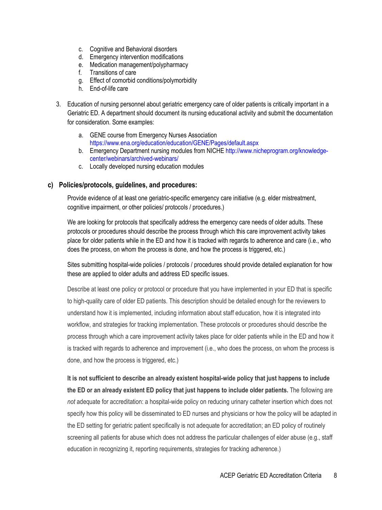- c. Cognitive and Behavioral disorders
- d. Emergency intervention modifications
- e. Medication management/polypharmacy
- f. Transitions of care
- g. Effect of comorbid conditions/polymorbidity
- h. End-of-life care
- 3. Education of nursing personnel about geriatric emergency care of older patients is critically important in a Geriatric ED. A department should document its nursing educational activity and submit the documentation for consideration. Some examples:
	- a. GENE course from Emergency Nurses Association <https://www.ena.org/education/education/GENE/Pages/default.aspx>
	- b. Emergency Department nursing modules from NICH[E http://www.nicheprogram.org/knowledge](http://www.nicheprogram.org/knowledge-center/webinars/archived-webinars/)[center/webinars/archived-webinars/](http://www.nicheprogram.org/knowledge-center/webinars/archived-webinars/)
	- c. Locally developed nursing education modules

#### **c) Policies/protocols, guidelines, and procedures:**

Provide evidence of at least one geriatric-specific emergency care initiative (e.g. elder mistreatment, cognitive impairment, or other policies/ protocols / procedures.)

We are looking for protocols that specifically address the emergency care needs of older adults. These protocols or procedures should describe the process through which this care improvement activity takes place for older patients while in the ED and how it is tracked with regards to adherence and care (i.e., who does the process, on whom the process is done, and how the process is triggered, etc.)

Sites submitting hospital-wide policies / protocols / procedures should provide detailed explanation for how these are applied to older adults and address ED specific issues.

Describe at least one policy or protocol or procedure that you have implemented in your ED that is specific to high-quality care of older ED patients. This description should be detailed enough for the reviewers to understand how it is implemented, including information about staff education, how it is integrated into workflow, and strategies for tracking implementation. These protocols or procedures should describe the process through which a care improvement activity takes place for older patients while in the ED and how it is tracked with regards to adherence and improvement (i.e., who does the process, on whom the process is done, and how the process is triggered, etc.)

**It is not sufficient to describe an already existent hospital-wide policy that just happens to include the ED or an already existent ED policy that just happens to include older patients.** The following are *not* adequate for accreditation: a hospital-wide policy on reducing urinary catheter insertion which does not specify how this policy will be disseminated to ED nurses and physicians or how the policy will be adapted in the ED setting for geriatric patient specifically is not adequate for accreditation; an ED policy of routinely screening all patients for abuse which does not address the particular challenges of elder abuse (e.g., staff education in recognizing it, reporting requirements, strategies for tracking adherence.)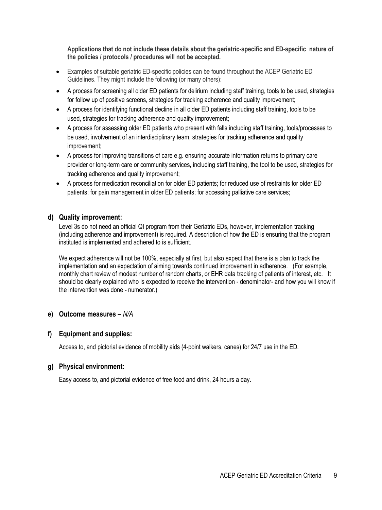**Applications that do not include these details about the geriatric-specific and ED-specific nature of the policies / protocols / procedures will not be accepted.**

- Examples of suitable geriatric ED-specific policies can be found throughout the ACEP Geriatric ED Guidelines. They might include the following (or many others):
- A process for screening all older ED patients for delirium including staff training, tools to be used, strategies for follow up of positive screens, strategies for tracking adherence and quality improvement;
- A process for identifying functional decline in all older ED patients including staff training, tools to be used, strategies for tracking adherence and quality improvement;
- A process for assessing older ED patients who present with falls including staff training, tools/processes to be used, involvement of an interdisciplinary team, strategies for tracking adherence and quality improvement;
- A process for improving transitions of care e.g. ensuring accurate information returns to primary care provider or long-term care or community services, including staff training, the tool to be used, strategies for tracking adherence and quality improvement;
- A process for medication reconciliation for older ED patients; for reduced use of restraints for older ED patients; for pain management in older ED patients; for accessing palliative care services;

#### **d) Quality improvement:**

Level 3s do not need an official QI program from their Geriatric EDs, however, implementation tracking (including adherence and improvement) is required. A description of how the ED is ensuring that the program instituted is implemented and adhered to is sufficient.

We expect adherence will not be 100%, especially at first, but also expect that there is a plan to track the implementation and an expectation of aiming towards continued improvement in adherence. (For example, monthly chart review of modest number of random charts, or EHR data tracking of patients of interest, etc. It should be clearly explained who is expected to receive the intervention - denominator- and how you will know if the intervention was done - numerator.)

#### **e) Outcome measures –** *N/A*

#### **f) Equipment and supplies:**

Access to, and pictorial evidence of mobility aids (4-point walkers, canes) for 24/7 use in the ED.

#### **g) Physical environment:**

Easy access to, and pictorial evidence of free food and drink, 24 hours a day.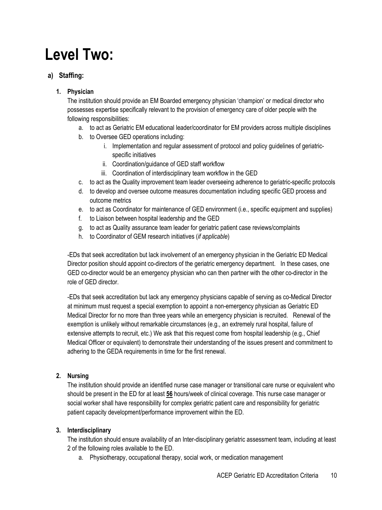# **Level Two:**

# **a) Staffing:**

# **1. Physician**

The institution should provide an EM Boarded emergency physician 'champion' or medical director who possesses expertise specifically relevant to the provision of emergency care of older people with the following responsibilities:

- a. to act as Geriatric EM educational leader/coordinator for EM providers across multiple disciplines
- b. to Oversee GED operations including:
	- i. Implementation and regular assessment of protocol and policy guidelines of geriatricspecific initiatives
	- ii. Coordination/guidance of GED staff workflow
	- iii. Coordination of interdisciplinary team workflow in the GED
- c. to act as the Quality improvement team leader overseeing adherence to geriatric-specific protocols
- d. to develop and oversee outcome measures documentation including specific GED process and outcome metrics
- e. to act as Coordinator for maintenance of GED environment (i.e., specific equipment and supplies)
- f. to Liaison between hospital leadership and the GED
- g. to act as Quality assurance team leader for geriatric patient case reviews/complaints
- h. to Coordinator of GEM research initiatives (*if applicable*)

-EDs that seek accreditation but lack involvement of an emergency physician in the Geriatric ED Medical Director position should appoint co-directors of the geriatric emergency department. In these cases, one GED co-director would be an emergency physician who can then partner with the other co-director in the role of GED director.

-EDs that seek accreditation but lack any emergency physicians capable of serving as co-Medical Director at minimum must request a special exemption to appoint a non-emergency physician as Geriatric ED Medical Director for no more than three years while an emergency physician is recruited. Renewal of the exemption is unlikely without remarkable circumstances (e.g., an extremely rural hospital, failure of extensive attempts to recruit, etc.) We ask that this request come from hospital leadership (e.g., Chief Medical Officer or equivalent) to demonstrate their understanding of the issues present and commitment to adhering to the GEDA requirements in time for the first renewal.

# **2. Nursing**

The institution should provide an identified nurse case manager or transitional care nurse or equivalent who should be present in the ED for at least **56** hours/week of clinical coverage. This nurse case manager or social worker shall have responsibility for complex geriatric patient care and responsibility for geriatric patient capacity development/performance improvement within the ED.

# **3. Interdisciplinary**

The institution should ensure availability of an Inter-disciplinary geriatric assessment team, including at least 2 of the following roles available to the ED.

a. Physiotherapy, occupational therapy, social work, or medication management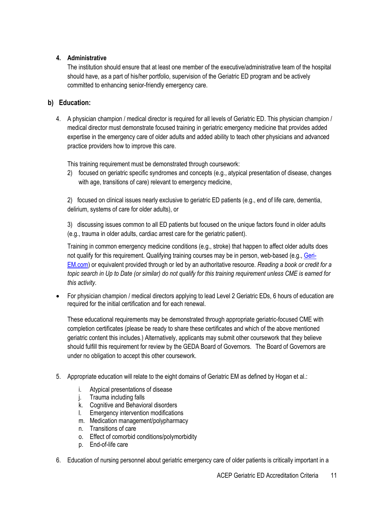#### **4. Administrative**

The institution should ensure that at least one member of the executive/administrative team of the hospital should have, as a part of his/her portfolio, supervision of the Geriatric ED program and be actively committed to enhancing senior-friendly emergency care.

# **b) Education:**

4. A physician champion / medical director is required for all levels of Geriatric ED. This physician champion / medical director must demonstrate focused training in geriatric emergency medicine that provides added expertise in the emergency care of older adults and added ability to teach other physicians and advanced practice providers how to improve this care.

This training requirement must be demonstrated through coursework:

2) focused on geriatric specific syndromes and concepts (e.g., atypical presentation of disease, changes with age, transitions of care) relevant to emergency medicine,

2) focused on clinical issues nearly exclusive to geriatric ED patients (e.g., end of life care, dementia, delirium, systems of care for older adults), or

3) discussing issues common to all ED patients but focused on the unique factors found in older adults (e.g., trauma in older adults, cardiac arrest care for the geriatric patient).

Training in common emergency medicine conditions (e.g., stroke) that happen to affect older adults does not qualify for this requirement. Qualifying training courses may be in person, web-based (e.g., [Geri-](https://urldefense.proofpoint.com/v2/url?u=http-3A__geri-2Dem.com_&d=DwMGaQ&c=Nd1gv_ZWYNIRyZYZmXb18oVfc3lTqv2smA_esABG70U&r=KxiCTWHmD2oOxdnNNyPqFy8plc2tvBt1azFLaRzk2fo&m=34-hKu1j9XhaElH1UhyXB-uUxvir6NwEl3jYOGc_nUQ&s=3PT8k63uG1aX-HZaxVo8rWTXejuaTaTkxH5tF9vNKEA&e=)[EM.com\)](https://urldefense.proofpoint.com/v2/url?u=http-3A__geri-2Dem.com_&d=DwMGaQ&c=Nd1gv_ZWYNIRyZYZmXb18oVfc3lTqv2smA_esABG70U&r=KxiCTWHmD2oOxdnNNyPqFy8plc2tvBt1azFLaRzk2fo&m=34-hKu1j9XhaElH1UhyXB-uUxvir6NwEl3jYOGc_nUQ&s=3PT8k63uG1aX-HZaxVo8rWTXejuaTaTkxH5tF9vNKEA&e=) or equivalent provided through or led by an authoritative resource. *Reading a book or credit for a topic search in Up to Date (or similar) do not qualify for this training requirement unless CME is earned for this activity.*

• For physician champion / medical directors applying to lead Level 2 Geriatric EDs, 6 hours of education are required for the initial certification and for each renewal.

These educational requirements may be demonstrated through appropriate geriatric-focused CME with completion certificates (please be ready to share these certificates and which of the above mentioned geriatric content this includes.) Alternatively, applicants may submit other coursework that they believe should fulfill this requirement for review by the GEDA Board of Governors. The Board of Governors are under no obligation to accept this other coursework.

- 5. Appropriate education will relate to the eight domains of Geriatric EM as defined by Hogan et al.:
	- i. Atypical presentations of disease
	- j. Trauma including falls
	- k. Cognitive and Behavioral disorders
	- l. Emergency intervention modifications
	- m. Medication management/polypharmacy
	- n. Transitions of care
	- o. Effect of comorbid conditions/polymorbidity
	- p. End-of-life care
- 6. Education of nursing personnel about geriatric emergency care of older patients is critically important in a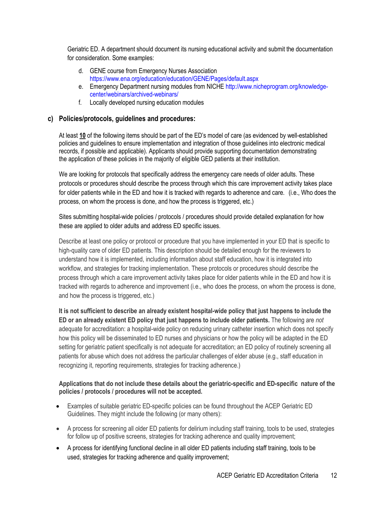Geriatric ED. A department should document its nursing educational activity and submit the documentation for consideration. Some examples:

- d. GENE course from Emergency Nurses Association <https://www.ena.org/education/education/GENE/Pages/default.aspx>
- e. Emergency Department nursing modules from NICH[E http://www.nicheprogram.org/knowledge](http://www.nicheprogram.org/knowledge-center/webinars/archived-webinars/)[center/webinars/archived-webinars/](http://www.nicheprogram.org/knowledge-center/webinars/archived-webinars/)
- f. Locally developed nursing education modules

### **c) Policies/protocols, guidelines and procedures:**

At least **10** of the following items should be part of the ED's model of care (as evidenced by well-established policies and guidelines to ensure implementation and integration of those guidelines into electronic medical records, if possible and applicable). Applicants should provide supporting documentation demonstrating the application of these policies in the majority of eligible GED patients at their institution.

We are looking for protocols that specifically address the emergency care needs of older adults. These protocols or procedures should describe the process through which this care improvement activity takes place for older patients while in the ED and how it is tracked with regards to adherence and care. (i.e., Who does the process, on whom the process is done, and how the process is triggered, etc.)

Sites submitting hospital-wide policies / protocols / procedures should provide detailed explanation for how these are applied to older adults and address ED specific issues.

Describe at least one policy or protocol or procedure that you have implemented in your ED that is specific to high-quality care of older ED patients. This description should be detailed enough for the reviewers to understand how it is implemented, including information about staff education, how it is integrated into workflow, and strategies for tracking implementation. These protocols or procedures should describe the process through which a care improvement activity takes place for older patients while in the ED and how it is tracked with regards to adherence and improvement (i.e., who does the process, on whom the process is done, and how the process is triggered, etc.)

**It is not sufficient to describe an already existent hospital-wide policy that just happens to include the ED or an already existent ED policy that just happens to include older patients.** The following are *not*  adequate for accreditation: a hospital-wide policy on reducing urinary catheter insertion which does not specify how this policy will be disseminated to ED nurses and physicians or how the policy will be adapted in the ED setting for geriatric patient specifically is not adequate for accreditation; an ED policy of routinely screening all patients for abuse which does not address the particular challenges of elder abuse (e.g., staff education in recognizing it, reporting requirements, strategies for tracking adherence.)

#### **Applications that do not include these details about the geriatric-specific and ED-specific nature of the policies / protocols / procedures will not be accepted.**

- Examples of suitable geriatric ED-specific policies can be found throughout the ACEP Geriatric ED Guidelines. They might include the following (or many others):
- A process for screening all older ED patients for delirium including staff training, tools to be used, strategies for follow up of positive screens, strategies for tracking adherence and quality improvement;
- A process for identifying functional decline in all older ED patients including staff training, tools to be used, strategies for tracking adherence and quality improvement;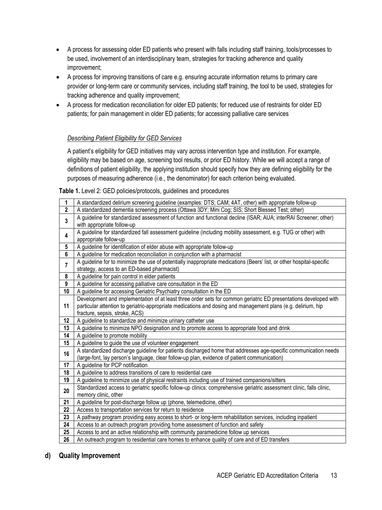- A process for assessing older ED patients who present with falls including staff training, tools/processes to be used, involvement of an interdisciplinary team, strategies for tracking adherence and quality improvement;
- A process for improving transitions of care e.g. ensuring accurate information returns to primary care provider or long-term care or community services, including staff training, the tool to be used, strategies for tracking adherence and quality improvement;
- A process for medication reconciliation for older ED patients; for reduced use of restraints for older ED patients; for pain management in older ED patients; for accessing palliative care services

#### *Describing Patient Eligibility for GED Services*

A patient's eligibility for GED initiatives may vary across intervention type and institution. For example, eligibility may be based on age, screening tool results, or prior ED history. While we will accept a range of definitions of patient eligibility, the applying institution should specify how they are defining eligibility for the purposes of measuring adherence (i.e., the denominator) for each criterion being evaluated.

**Table 1.** Level 2: GED policies/protocols, guidelines and procedures

| 1                       | A standardized delirium screening guideline (examples: DTS; CAM; 4AT, other) with appropriate follow-up               |
|-------------------------|-----------------------------------------------------------------------------------------------------------------------|
| $\mathbf{2}$            | A standardized dementia screening process (Ottawa 3DY; Mini Cog; SIS; Short Blessed Test; other)                      |
| $\overline{\mathbf{3}}$ | A guideline for standardized assessment of function and functional decline (ISAR; AUA; interRAI Screener; other)      |
|                         | with appropriate follow-up                                                                                            |
| 4                       | A guideline for standardized fall assessment guideline (including mobility assessment, e.g. TUG or other) with        |
|                         | appropriate follow-up                                                                                                 |
| 5                       | A guideline for identification of elder abuse with appropriate follow-up                                              |
| 6                       | A guideline for medication reconciliation in conjunction with a pharmacist                                            |
| $\overline{7}$          | A guideline for to minimize the use of potentially inappropriate medications (Beers' list, or other hospital-specific |
|                         | strategy, access to an ED-based pharmacist)                                                                           |
| 8                       | A guideline for pain control in elder patients                                                                        |
| $\boldsymbol{9}$        | A guideline for accessing palliative care consultation in the ED                                                      |
| 10                      | A guideline for accessing Geriatric Psychiatry consultation in the ED                                                 |
|                         | Development and implementation of at least three order sets for common geriatric ED presentations developed with      |
| 11                      | particular attention to geriatric-appropriate medications and dosing and management plans (e.g. delirium, hip         |
|                         | fracture, sepsis, stroke, ACS)                                                                                        |
| 12                      | A guideline to standardize and minimize urinary catheter use                                                          |
| 13                      | A guideline to minimize NPO designation and to promote access to appropriate food and drink                           |
| 14                      | A guideline to promote mobility                                                                                       |
| 15                      | A guideline to guide the use of volunteer engagement                                                                  |
| 16                      | A standardized discharge guideline for patients discharged home that addresses age-specific communication needs       |
|                         | (large-font, lay person's language, clear follow-up plan, evidence of patient communication)                          |
| 17                      | A guideline for PCP notification                                                                                      |
| 18                      | A quideline to address transitions of care to residential care                                                        |
| 19                      | A guideline to minimize use of physical restraints including use of trained companions/sitters                        |
| 20                      | Standardized access to geriatric specific follow-up clinics: comprehensive geriatric assessment clinic, falls clinic, |
|                         | memory clinic, other                                                                                                  |
| 21                      | A guideline for post-discharge follow up (phone, telemedicine, other)                                                 |
| 22                      | Access to transportation services for return to residence                                                             |
| 23                      | A pathway program providing easy access to short- or long-term rehabilitation services, including inpatient           |
| 24                      | Access to an outreach program providing home assessment of function and safety                                        |
| 25                      | Access to and an active relationship with community paramedicine follow up services                                   |
| 26                      | An outreach program to residential care homes to enhance quality of care and of ED transfers                          |

#### **d) Quality Improvement**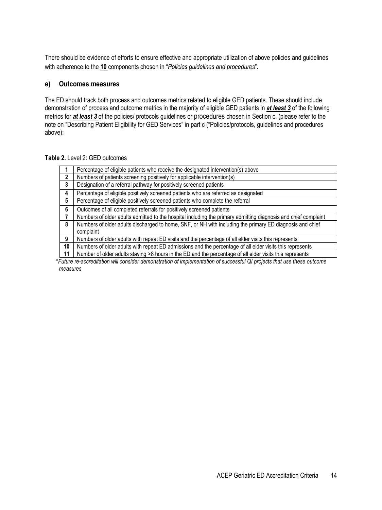There should be evidence of efforts to ensure effective and appropriate utilization of above policies and guidelines with adherence to the **10** components chosen in "*Policies guidelines and procedures*".

#### **e) Outcomes measures**

The ED should track both process and outcomes metrics related to eligible GED patients. These should include demonstration of process and outcome metrics in the majority of eligible GED patients in *at least 3* of the following metrics for *at least 3* of the policies/ protocols guidelines or procedures chosen in Section c. (please refer to the note on "Describing Patient Eligibility for GED Services" in part c ("Policies/protocols, guidelines and procedures above):

|  | Table 2. Level 2: GED outcomes |  |
|--|--------------------------------|--|
|--|--------------------------------|--|

|    | Percentage of eligible patients who receive the designated intervention(s) above                               |  |
|----|----------------------------------------------------------------------------------------------------------------|--|
| 2  | Numbers of patients screening positively for applicable intervention(s)                                        |  |
| 3  | Designation of a referral pathway for positively screened patients                                             |  |
| 4  | Percentage of eligible positively screened patients who are referred as designated                             |  |
| 5  | Percentage of eligible positively screened patients who complete the referral                                  |  |
| 6  | Outcomes of all completed referrals for positively screened patients                                           |  |
|    | Numbers of older adults admitted to the hospital including the primary admitting diagnosis and chief complaint |  |
| 8  | Numbers of older adults discharged to home, SNF, or NH with including the primary ED diagnosis and chief       |  |
|    | complaint                                                                                                      |  |
| 9  | Numbers of older adults with repeat ED visits and the percentage of all elder visits this represents           |  |
| 10 | Numbers of older adults with repeat ED admissions and the percentage of all elder visits this represents       |  |
| 11 | Number of older adults staying >8 hours in the ED and the percentage of all elder visits this represents       |  |

\**Future re-accreditation will consider demonstration of implementation of successful QI projects that use these outcome measures*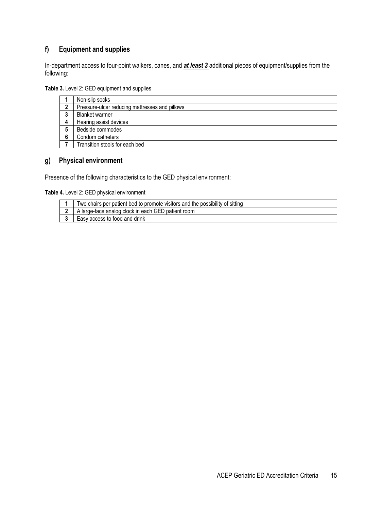# **f) Equipment and supplies**

In-department access to four-point walkers, canes, and *at least 3* additional pieces of equipment/supplies from the following:

**Table 3.** Level 2: GED equipment and supplies

|   | Non-slip socks                                 |
|---|------------------------------------------------|
|   | Pressure-ulcer reducing mattresses and pillows |
| ≏ | <b>Blanket warmer</b>                          |
|   | Hearing assist devices                         |
| 5 | Bedside commodes                               |
| 6 | Condom catheters                               |
|   | Transition stools for each bed                 |

#### **g) Physical environment**

Presence of the following characteristics to the GED physical environment:

**Table 4.** Level 2: GED physical environment

| Two chairs per patient bed to promote visitors and the possibility of sitting |
|-------------------------------------------------------------------------------|
| 2   A large-face analog clock in each GED patient room                        |
| Easy access to food and drink                                                 |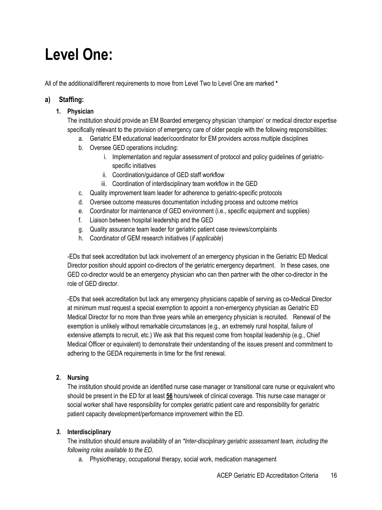# **Level One:**

All of the additional/different requirements to move from Level Two to Level One are marked **\***

# **a) Staffing:**

### **1. Physician**

The institution should provide an EM Boarded emergency physician 'champion' or medical director expertise specifically relevant to the provision of emergency care of older people with the following responsibilities:

- a. Geriatric EM educational leader/coordinator for EM providers across multiple disciplines
- b. Oversee GED operations including:
	- i. Implementation and regular assessment of protocol and policy guidelines of geriatricspecific initiatives
	- ii. Coordination/guidance of GED staff workflow
	- iii. Coordination of interdisciplinary team workflow in the GED
- c. Quality improvement team leader for adherence to geriatric-specific protocols
- d. Oversee outcome measures documentation including process and outcome metrics
- e. Coordinator for maintenance of GED environment (i.e., specific equipment and supplies)
- f. Liaison between hospital leadership and the GED
- g. Quality assurance team leader for geriatric patient case reviews/complaints
- h. Coordinator of GEM research initiatives (*if applicable*)

-EDs that seek accreditation but lack involvement of an emergency physician in the Geriatric ED Medical Director position should appoint co-directors of the geriatric emergency department. In these cases, one GED co-director would be an emergency physician who can then partner with the other co-director in the role of GED director.

-EDs that seek accreditation but lack any emergency physicians capable of serving as co-Medical Director at minimum must request a special exemption to appoint a non-emergency physician as Geriatric ED Medical Director for no more than three years while an emergency physician is recruited. Renewal of the exemption is unlikely without remarkable circumstances (e.g., an extremely rural hospital, failure of extensive attempts to recruit, etc.) We ask that this request come from hospital leadership (e.g., Chief Medical Officer or equivalent) to demonstrate their understanding of the issues present and commitment to adhering to the GEDA requirements in time for the first renewal.

# **2. Nursing**

The institution should provide an identified nurse case manager or transitional care nurse or equivalent who should be present in the ED for at least **56** hours/week of clinical coverage. This nurse case manager or social worker shall have responsibility for complex geriatric patient care and responsibility for geriatric patient capacity development/performance improvement within the ED.

#### *3.* **Interdisciplinary**

The institution should ensure availability of an *\*Inter-disciplinary geriatric assessment team, including the following roles available to the ED.* 

a. Physiotherapy, occupational therapy, social work, medication management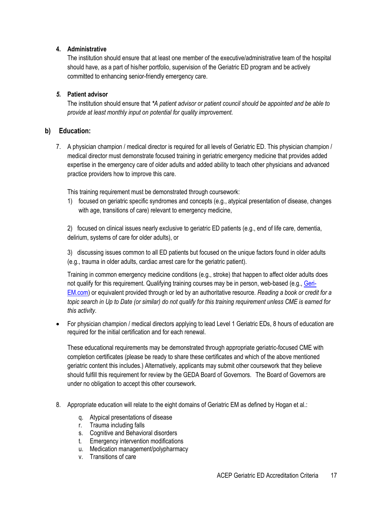#### **4. Administrative**

The institution should ensure that at least one member of the executive/administrative team of the hospital should have, as a part of his/her portfolio, supervision of the Geriatric ED program and be actively committed to enhancing senior-friendly emergency care.

#### *5.* **Patient advisor**

The institution should ensure that *\*A patient advisor or patient council should be appointed and be able to provide at least monthly input on potential for quality improvement.* 

#### **b) Education:**

7. A physician champion / medical director is required for all levels of Geriatric ED. This physician champion / medical director must demonstrate focused training in geriatric emergency medicine that provides added expertise in the emergency care of older adults and added ability to teach other physicians and advanced practice providers how to improve this care.

This training requirement must be demonstrated through coursework:

1) focused on geriatric specific syndromes and concepts (e.g., atypical presentation of disease, changes with age, transitions of care) relevant to emergency medicine,

2) focused on clinical issues nearly exclusive to geriatric ED patients (e.g., end of life care, dementia, delirium, systems of care for older adults), or

3) discussing issues common to all ED patients but focused on the unique factors found in older adults (e.g., trauma in older adults, cardiac arrest care for the geriatric patient).

Training in common emergency medicine conditions (e.g., stroke) that happen to affect older adults does not qualify for this requirement. Qualifying training courses may be in person, web-based (e.g., [Geri-](https://urldefense.proofpoint.com/v2/url?u=http-3A__geri-2Dem.com_&d=DwMGaQ&c=Nd1gv_ZWYNIRyZYZmXb18oVfc3lTqv2smA_esABG70U&r=KxiCTWHmD2oOxdnNNyPqFy8plc2tvBt1azFLaRzk2fo&m=34-hKu1j9XhaElH1UhyXB-uUxvir6NwEl3jYOGc_nUQ&s=3PT8k63uG1aX-HZaxVo8rWTXejuaTaTkxH5tF9vNKEA&e=)[EM.com\)](https://urldefense.proofpoint.com/v2/url?u=http-3A__geri-2Dem.com_&d=DwMGaQ&c=Nd1gv_ZWYNIRyZYZmXb18oVfc3lTqv2smA_esABG70U&r=KxiCTWHmD2oOxdnNNyPqFy8plc2tvBt1azFLaRzk2fo&m=34-hKu1j9XhaElH1UhyXB-uUxvir6NwEl3jYOGc_nUQ&s=3PT8k63uG1aX-HZaxVo8rWTXejuaTaTkxH5tF9vNKEA&e=) or equivalent provided through or led by an authoritative resource. *Reading a book or credit for a topic search in Up to Date (or similar) do not qualify for this training requirement unless CME is earned for this activity.*

• For physician champion / medical directors applying to lead Level 1 Geriatric EDs, 8 hours of education are required for the initial certification and for each renewal.

These educational requirements may be demonstrated through appropriate geriatric-focused CME with completion certificates (please be ready to share these certificates and which of the above mentioned geriatric content this includes.) Alternatively, applicants may submit other coursework that they believe should fulfill this requirement for review by the GEDA Board of Governors. The Board of Governors are under no obligation to accept this other coursework.

- 8. Appropriate education will relate to the eight domains of Geriatric EM as defined by Hogan et al.:
	- q. Atypical presentations of disease
	- r. Trauma including falls
	- s. Cognitive and Behavioral disorders
	- t. Emergency intervention modifications
	- u. Medication management/polypharmacy
	- v. Transitions of care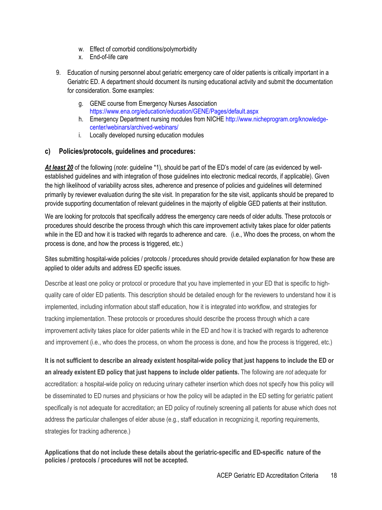- w. Effect of comorbid conditions/polymorbidity
- x. End-of-life care
- 9. Education of nursing personnel about geriatric emergency care of older patients is critically important in a Geriatric ED. A department should document its nursing educational activity and submit the documentation for consideration. Some examples:
	- g. GENE course from Emergency Nurses Association <https://www.ena.org/education/education/GENE/Pages/default.aspx>
	- h. Emergency Department nursing modules from NICH[E http://www.nicheprogram.org/knowledge](http://www.nicheprogram.org/knowledge-center/webinars/archived-webinars/)[center/webinars/archived-webinars/](http://www.nicheprogram.org/knowledge-center/webinars/archived-webinars/)
	- i. Locally developed nursing education modules

#### **c) Policies/protocols, guidelines and procedures:**

*At least 20* of the following (*note*: guideline \*1), should be part of the ED's model of care (as evidenced by wellestablished guidelines and with integration of those guidelines into electronic medical records, if applicable). Given the high likelihood of variability across sites, adherence and presence of policies and guidelines will determined primarily by reviewer evaluation during the site visit. In preparation for the site visit, applicants should be prepared to provide supporting documentation of relevant guidelines in the majority of eligible GED patients at their institution.

We are looking for protocols that specifically address the emergency care needs of older adults. These protocols or procedures should describe the process through which this care improvement activity takes place for older patients while in the ED and how it is tracked with regards to adherence and care. (i.e., Who does the process, on whom the process is done, and how the process is triggered, etc.)

Sites submitting hospital-wide policies / protocols / procedures should provide detailed explanation for how these are applied to older adults and address ED specific issues.

Describe at least one policy or protocol or procedure that you have implemented in your ED that is specific to highquality care of older ED patients. This description should be detailed enough for the reviewers to understand how it is implemented, including information about staff education, how it is integrated into workflow, and strategies for tracking implementation. These protocols or procedures should describe the process through which a care improvement activity takes place for older patients while in the ED and how it is tracked with regards to adherence and improvement (i.e., who does the process, on whom the process is done, and how the process is triggered, etc.)

**It is not sufficient to describe an already existent hospital-wide policy that just happens to include the ED or an already existent ED policy that just happens to include older patients.** The following are *not* adequate for accreditation: a hospital-wide policy on reducing urinary catheter insertion which does not specify how this policy will be disseminated to ED nurses and physicians or how the policy will be adapted in the ED setting for geriatric patient specifically is not adequate for accreditation; an ED policy of routinely screening all patients for abuse which does not address the particular challenges of elder abuse (e.g., staff education in recognizing it, reporting requirements, strategies for tracking adherence.)

#### **Applications that do not include these details about the geriatric-specific and ED-specific nature of the policies / protocols / procedures will not be accepted.**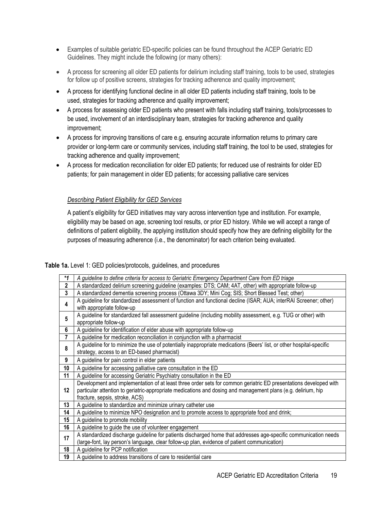- Examples of suitable geriatric ED-specific policies can be found throughout the ACEP Geriatric ED Guidelines. They might include the following (or many others):
- A process for screening all older ED patients for delirium including staff training, tools to be used, strategies for follow up of positive screens, strategies for tracking adherence and quality improvement;
- A process for identifying functional decline in all older ED patients including staff training, tools to be used, strategies for tracking adherence and quality improvement;
- A process for assessing older ED patients who present with falls including staff training, tools/processes to be used, involvement of an interdisciplinary team, strategies for tracking adherence and quality improvement;
- A process for improving transitions of care e.g. ensuring accurate information returns to primary care provider or long-term care or community services, including staff training, the tool to be used, strategies for tracking adherence and quality improvement;
- A process for medication reconciliation for older ED patients; for reduced use of restraints for older ED patients; for pain management in older ED patients; for accessing palliative care services

#### *Describing Patient Eligibility for GED Services*

A patient's eligibility for GED initiatives may vary across intervention type and institution. For example, eligibility may be based on age, screening tool results, or prior ED history. While we will accept a range of definitions of patient eligibility, the applying institution should specify how they are defining eligibility for the purposes of measuring adherence (i.e., the denominator) for each criterion being evaluated.

#### **Table 1a.** Level 1: GED policies/protocols, guidelines, and procedures

| $*_{1}$                 | A guideline to define criteria for access to Geriatric Emergency Department Care from ED triage                       |  |
|-------------------------|-----------------------------------------------------------------------------------------------------------------------|--|
| $\overline{\mathbf{2}}$ | A standardized delirium screening guideline (examples: DTS; CAM; 4AT, other) with appropriate follow-up               |  |
| 3                       | A standardized dementia screening process (Ottawa 3DY; Mini Cog; SIS; Short Blessed Test; other)                      |  |
| 4                       | A guideline for standardized assessment of function and functional decline (ISAR; AUA; interRAI Screener; other)      |  |
|                         | with appropriate follow-up                                                                                            |  |
| 5                       | A guideline for standardized fall assessment guideline (including mobility assessment, e.g. TUG or other) with        |  |
|                         | appropriate follow-up                                                                                                 |  |
| 6                       | A guideline for identification of elder abuse with appropriate follow-up                                              |  |
| 7                       | A guideline for medication reconciliation in conjunction with a pharmacist                                            |  |
| 8                       | A guideline for to minimize the use of potentially inappropriate medications (Beers' list, or other hospital-specific |  |
|                         | strategy, access to an ED-based pharmacist)                                                                           |  |
| 9                       | A guideline for pain control in elder patients                                                                        |  |
| 10                      | A guideline for accessing palliative care consultation in the ED                                                      |  |
| 11                      | A guideline for accessing Geriatric Psychiatry consultation in the ED                                                 |  |
|                         | Development and implementation of at least three order sets for common geriatric ED presentations developed with      |  |
| 12                      | particular attention to geriatric-appropriate medications and dosing and management plans (e.g. delirium, hip         |  |
|                         | fracture, sepsis, stroke, ACS)                                                                                        |  |
| 13                      | A guideline to standardize and minimize urinary catheter use                                                          |  |
| 14                      | A guideline to minimize NPO designation and to promote access to appropriate food and drink;                          |  |
| 15                      | A guideline to promote mobility                                                                                       |  |
| 16                      | A guideline to guide the use of volunteer engagement                                                                  |  |
| 17                      | A standardized discharge guideline for patients discharged home that addresses age-specific communication needs       |  |
|                         | (large-font, lay person's language, clear follow-up plan, evidence of patient communication)                          |  |
| 18                      | A guideline for PCP notification                                                                                      |  |
| 19                      | A guideline to address transitions of care to residential care                                                        |  |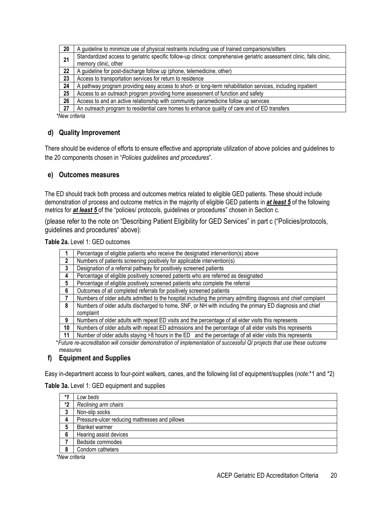| 20 | A guideline to minimize use of physical restraints including use of trained companions/sitters                        |  |
|----|-----------------------------------------------------------------------------------------------------------------------|--|
| 21 | Standardized access to geriatric specific follow-up clinics: comprehensive geriatric assessment clinic, falls clinic, |  |
|    | memory clinic, other                                                                                                  |  |
| 22 | A guideline for post-discharge follow up (phone, telemedicine, other)                                                 |  |
| 23 | Access to transportation services for return to residence                                                             |  |
| 24 | A pathway program providing easy access to short- or long-term rehabilitation services, including inpatient           |  |
| 25 | Access to an outreach program providing home assessment of function and safety                                        |  |
| 26 | Access to and an active relationship with community paramedicine follow up services                                   |  |
| 27 | An outreach program to residential care homes to enhance quality of care and of ED transfers                          |  |

*\*New criteria* 

# **d) Quality Improvement**

There should be evidence of efforts to ensure effective and appropriate utilization of above policies and guidelines to the 20 components chosen in "*Policies guidelines and procedures*".

#### **e) Outcomes measures**

The ED should track both process and outcomes metrics related to eligible GED patients. These should include demonstration of process and outcome metrics in the majority of eligible GED patients in *at least 5* of the following metrics for *at least 5* of the "policies/ protocols, guidelines or procedures" chosen in Section c.

(please refer to the note on "Describing Patient Eligibility for GED Services" in part c ("Policies/protocols, guidelines and procedures" above):

| Table 2a. Level 1: GED outcomes |  |  |  |
|---------------------------------|--|--|--|
|---------------------------------|--|--|--|

|                                                                                                                         | Percentage of eligible patients who receive the designated intervention(s) above                               |  |  |
|-------------------------------------------------------------------------------------------------------------------------|----------------------------------------------------------------------------------------------------------------|--|--|
| 2                                                                                                                       | Numbers of patients screening positively for applicable intervention(s)                                        |  |  |
| 3                                                                                                                       | Designation of a referral pathway for positively screened patients                                             |  |  |
| 4                                                                                                                       | Percentage of eligible positively screened patients who are referred as designated                             |  |  |
| 5                                                                                                                       | Percentage of eligible positively screened patients who complete the referral                                  |  |  |
| 6                                                                                                                       | Outcomes of all completed referrals for positively screened patients                                           |  |  |
|                                                                                                                         | Numbers of older adults admitted to the hospital including the primary admitting diagnosis and chief complaint |  |  |
| 8                                                                                                                       | Numbers of older adults discharged to home, SNF, or NH with including the primary ED diagnosis and chief       |  |  |
|                                                                                                                         | complaint                                                                                                      |  |  |
| 9                                                                                                                       | Numbers of older adults with repeat ED visits and the percentage of all elder visits this represents           |  |  |
| 10                                                                                                                      | Numbers of older adults with repeat ED admissions and the percentage of all elder visits this represents       |  |  |
| 11                                                                                                                      | Number of older adults staying >8 hours in the ED and the percentage of all elder visits this represents       |  |  |
| *Future re-accreditation will consider demonstration of implementation of successful QI projects that use these outcome |                                                                                                                |  |  |
|                                                                                                                         | measures                                                                                                       |  |  |

#### **f) Equipment and Supplies**

Easy in-department access to four-point walkers, canes, and the following list of equipment/supplies (*note*:\*1 and \*2)

#### **Table 3a.** Level 1: GED equipment and supplies

| $*$ 4 | Low beds                                       |
|-------|------------------------------------------------|
| *2    | Reclining arm chairs                           |
| 3     | Non-slip socks                                 |
| 4     | Pressure-ulcer reducing mattresses and pillows |
| 5     | <b>Blanket warmer</b>                          |
| 6     | Hearing assist devices                         |
|       | Bedside commodes                               |
| 8     | Condom catheters                               |
|       |                                                |

*\*New criteria*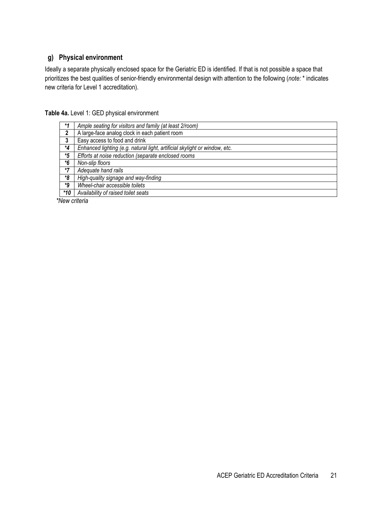# **g) Physical environment**

Ideally a separate physically enclosed space for the Geriatric ED is identified. If that is not possible a space that prioritizes the best qualities of senior-friendly environmental design with attention to the following (*note:* \* indicates new criteria for Level 1 accreditation).

| Table 4a. Level 1: GED physical environment |  |
|---------------------------------------------|--|
|---------------------------------------------|--|

| $*1$ | Ample seating for visitors and family (at least 2/room)                    |
|------|----------------------------------------------------------------------------|
| 2    | A large-face analog clock in each patient room                             |
| 3    | Easy access to food and drink                                              |
| *4   | Enhanced lighting (e.g. natural light, artificial skylight or window, etc. |
| *5   | Efforts at noise reduction (separate enclosed rooms                        |
| *6   | Non-slip floors                                                            |
| *7   | Adequate hand rails                                                        |
| *8   | High-quality signage and way-finding                                       |
| ٠9   | Wheel-chair accessible toilets                                             |
| *10  | Availability of raised toilet seats                                        |

*\*New criteria*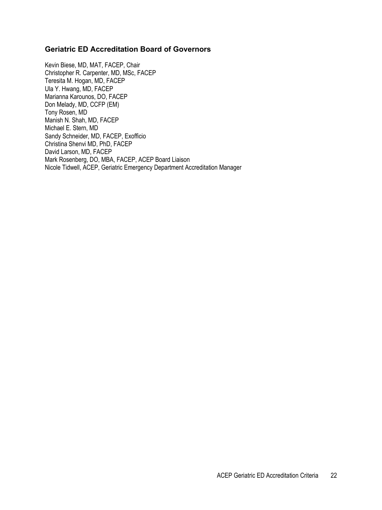#### **Geriatric ED Accreditation Board of Governors**

Kevin Biese, MD, MAT, FACEP, Chair Christopher R. Carpenter, MD, MSc, FACEP Teresita M. Hogan, MD, FACEP Ula Y. Hwang, MD, FACEP Marianna Karounos, DO, FACEP Don Melady, MD, CCFP (EM) Tony Rosen, MD Manish N. Shah, MD, FACEP Michael E. Stern, MD Sandy Schneider, MD, FACEP, Exofficio Christina Shenvi MD, PhD, FACEP David Larson, MD, FACEP Mark Rosenberg, DO, MBA, FACEP, ACEP Board Liaison Nicole Tidwell, ACEP, Geriatric Emergency Department Accreditation Manager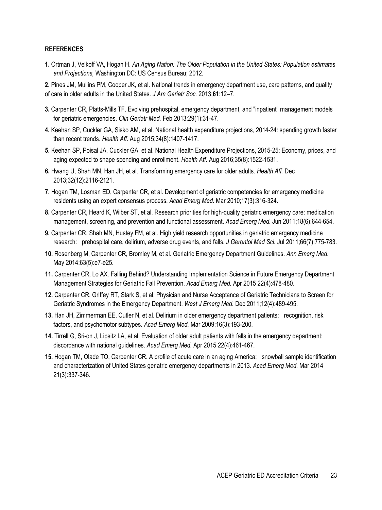#### **REFERENCES**

**1.** Ortman J, Velkoff VA, Hogan H. *An Aging Nation: The Older Population in the United States: Population estimates and Projections,* Washington DC: US Census Bureau; 2012.

**2.** Pines JM, Mullins PM, Cooper JK, et al. National trends in emergency department use, care patterns, and quality of care in older adults in the United States. *J Am Geriatr Soc.* 2013;**61**:12–7.

- **3.** Carpenter CR, Platts-Mills TF. Evolving prehospital, emergency department, and "inpatient" management models for geriatric emergencies. *Clin Geriatr Med.* Feb 2013;29(1):31-47.
- **4.** Keehan SP, Cuckler GA, Sisko AM, et al. National health expenditure projections, 2014-24: spending growth faster than recent trends. *Health Aff.* Aug 2015;34(8):1407-1417.
- **5.** Keehan SP, Poisal JA, Cuckler GA, et al. National Health Expenditure Projections, 2015-25: Economy, prices, and aging expected to shape spending and enrollment. *Health Aff.* Aug 2016;35(8):1522-1531.
- **6.** Hwang U, Shah MN, Han JH, et al. Transforming emergency care for older adults. *Health Aff.* Dec 2013;32(12):2116-2121.
- **7.** Hogan TM, Losman ED, Carpenter CR, et al. Development of geriatric competencies for emergency medicine residents using an expert consensus process. *Acad Emerg Med.* Mar 2010;17(3):316-324.
- **8.** Carpenter CR, Heard K, Wilber ST, et al. Research priorities for high-quality geriatric emergency care: medication management, screening, and prevention and functional assessment. *Acad Emerg Med.* Jun 2011;18(6):644-654.
- **9.** Carpenter CR, Shah MN, Hustey FM, et al. High yield research opportunities in geriatric emergency medicine research: prehospital care, delirium, adverse drug events, and falls. *J Gerontol Med Sci.* Jul 2011;66(7):775-783.
- **10.** Rosenberg M, Carpenter CR, Bromley M, et al. Geriatric Emergency Department Guidelines. *Ann Emerg Med.*  May 2014;63(5):e7-e25.
- **11.** Carpenter CR, Lo AX. Falling Behind? Understanding Implementation Science in Future Emergency Department Management Strategies for Geriatric Fall Prevention. *Acad Emerg Med.* Apr 2015 22(4):478-480.
- **12.** Carpenter CR, Griffey RT, Stark S, et al. Physician and Nurse Acceptance of Geriatric Technicians to Screen for Geriatric Syndromes in the Emergency Department. *West J Emerg Med.* Dec 2011;12(4):489-495.
- **13.** Han JH, Zimmerman EE, Cutler N, et al. Delirium in older emergency department patients: recognition, risk factors, and psychomotor subtypes. *Acad Emerg Med.* Mar 2009;16(3):193-200.
- **14.** Tirrell G, Sri-on J, Lipsitz LA, et al. Evaluation of older adult patients with falls in the emergency department: discordance with national guidelines. *Acad Emerg Med.* Apr 2015 22(4):461-467.
- **15.** Hogan TM, Olade TO, Carpenter CR. A profile of acute care in an aging America: snowball sample identification and characterization of United States geriatric emergency departments in 2013. *Acad Emerg Med.* Mar 2014 21(3):337-346.